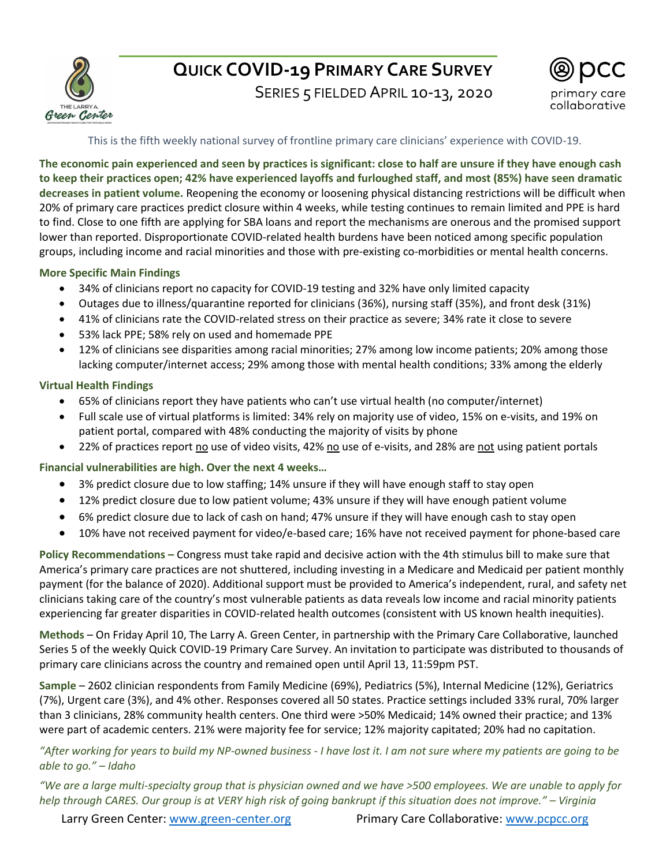

# **QUICK COVID-19 PRIMARY CARE SURVEY**

SERIES 5 FIELDED APRIL 10-13, 2020



# This is the fifth weekly national survey of frontline primary care clinicians' experience with COVID-19.

**The economic pain experienced and seen by practices is significant: close to half are unsure if they have enough cash to keep their practices open; 42% have experienced layoffs and furloughed staff, and most (85%) have seen dramatic decreases in patient volume.** Reopening the economy or loosening physical distancing restrictions will be difficult when 20% of primary care practices predict closure within 4 weeks, while testing continues to remain limited and PPE is hard to find. Close to one fifth are applying for SBA loans and report the mechanisms are onerous and the promised support lower than reported. Disproportionate COVID-related health burdens have been noticed among specific population groups, including income and racial minorities and those with pre-existing co-morbidities or mental health concerns.

### **More Specific Main Findings**

- 34% of clinicians report no capacity for COVID-19 testing and 32% have only limited capacity
- Outages due to illness/quarantine reported for clinicians (36%), nursing staff (35%), and front desk (31%)
- 41% of clinicians rate the COVID-related stress on their practice as severe; 34% rate it close to severe
- 53% lack PPE; 58% rely on used and homemade PPE
- 12% of clinicians see disparities among racial minorities; 27% among low income patients; 20% among those lacking computer/internet access; 29% among those with mental health conditions; 33% among the elderly

### **Virtual Health Findings**

- 65% of clinicians report they have patients who can't use virtual health (no computer/internet)
- Full scale use of virtual platforms is limited: 34% rely on majority use of video, 15% on e-visits, and 19% on patient portal, compared with 48% conducting the majority of visits by phone
- 22% of practices report no use of video visits, 42% no use of e-visits, and 28% are not using patient portals

**Financial vulnerabilities are high. Over the next 4 weeks…**

- 3% predict closure due to low staffing; 14% unsure if they will have enough staff to stay open
- 12% predict closure due to low patient volume; 43% unsure if they will have enough patient volume
- 6% predict closure due to lack of cash on hand; 47% unsure if they will have enough cash to stay open
- 10% have not received payment for video/e-based care; 16% have not received payment for phone-based care

**Policy Recommendations –** Congress must take rapid and decisive action with the 4th stimulus bill to make sure that America's primary care practices are not shuttered, including investing in a Medicare and Medicaid per patient monthly payment (for the balance of 2020). Additional support must be provided to America's independent, rural, and safety net clinicians taking care of the country's most vulnerable patients as data reveals low income and racial minority patients experiencing far greater disparities in COVID-related health outcomes (consistent with US known health inequities).

**Methods** – On Friday April 10, The Larry A. Green Center, in partnership with the Primary Care Collaborative, launched Series 5 of the weekly Quick COVID-19 Primary Care Survey. An invitation to participate was distributed to thousands of primary care clinicians across the country and remained open until April 13, 11:59pm PST.

**Sample** – 2602 clinician respondents from Family Medicine (69%), Pediatrics (5%), Internal Medicine (12%), Geriatrics (7%), Urgent care (3%), and 4% other. Responses covered all 50 states. Practice settings included 33% rural, 70% larger than 3 clinicians, 28% community health centers. One third were >50% Medicaid; 14% owned their practice; and 13% were part of academic centers. 21% were majority fee for service; 12% majority capitated; 20% had no capitation.

*"After working for years to build my NP-owned business - I have lost it. I am not sure where my patients are going to be able to go." – Idaho* 

*"We are a large multi-specialty group that is physician owned and we have >500 employees. We are unable to apply for help through CARES. Our group is at VERY high risk of going bankrupt if this situation does not improve." – Virginia* 

Larry Green Center: [www.green-center.org](http://www.green-center.org/) entitled a primary Care Collaborative: [www.pcpcc.org](http://www.pcpcc.org/)